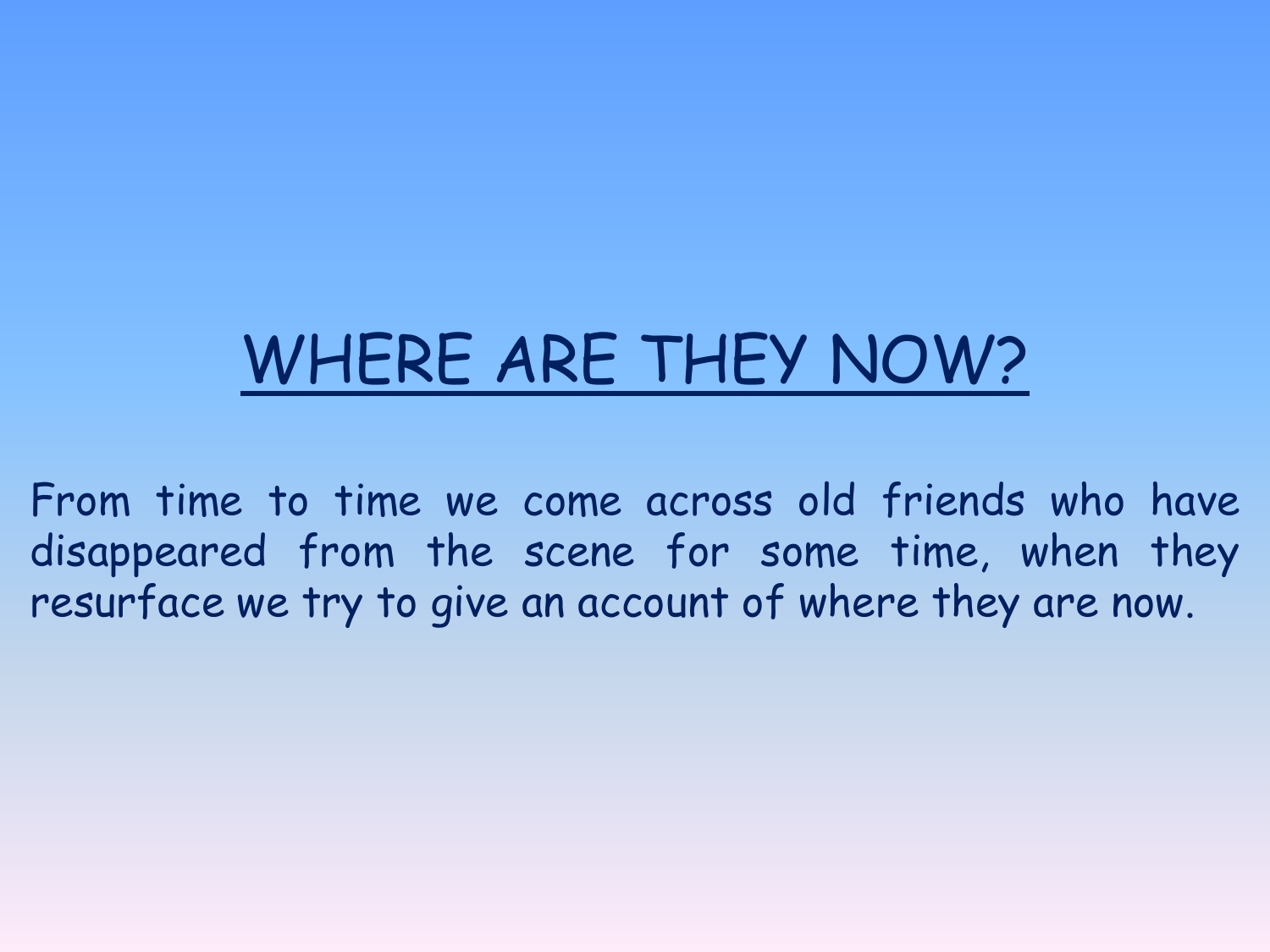# WHERE ARE THEY NOW?

From time to time we come across old friends who have disappeared from the scene for some time, when they resurface we try to give an account of where they are now.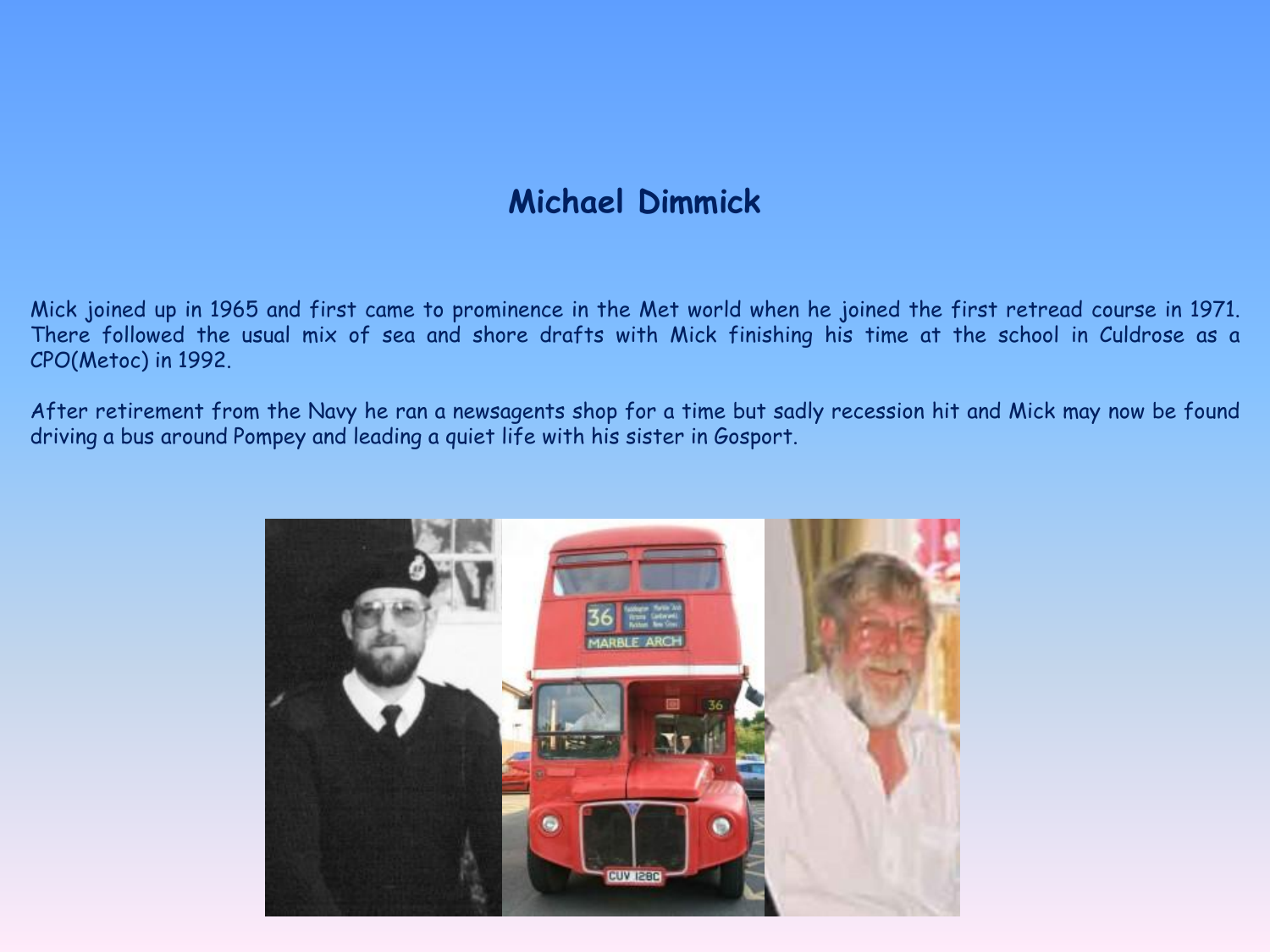## **Michael Dimmick**

Mick joined up in 1965 and first came to prominence in the Met world when he joined the first retread course in 1971. There followed the usual mix of sea and shore drafts with Mick finishing his time at the school in Culdrose as a CPO(Metoc) in 1992.

After retirement from the Navy he ran a newsagents shop for a time but sadly recession hit and Mick may now be found driving a bus around Pompey and leading a quiet life with his sister in Gosport.

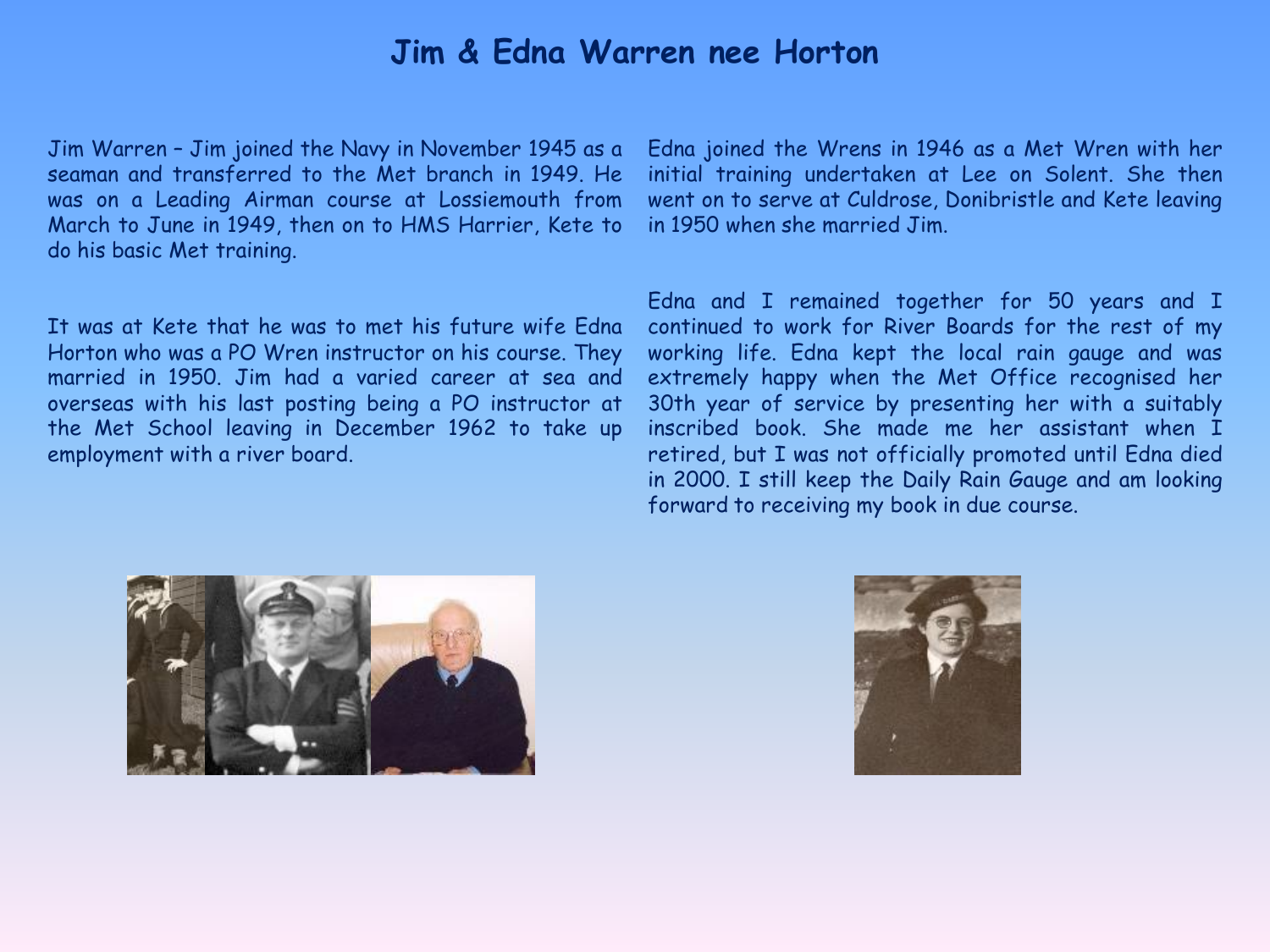#### **Jim & Edna Warren nee Horton**

Jim Warren – Jim joined the Navy in November 1945 as a seaman and transferred to the Met branch in 1949. He was on a Leading Airman course at Lossiemouth from March to June in 1949, then on to HMS Harrier, Kete to do his basic Met training.

It was at Kete that he was to met his future wife Edna Horton who was a PO Wren instructor on his course. They married in 1950. Jim had a varied career at sea and overseas with his last posting being a PO instructor at the Met School leaving in December 1962 to take up employment with a river board.

Edna joined the Wrens in 1946 as a Met Wren with her initial training undertaken at Lee on Solent. She then went on to serve at Culdrose, Donibristle and Kete leaving in 1950 when she married Jim.

Edna and I remained together for 50 years and I continued to work for River Boards for the rest of my working life. Edna kept the local rain gauge and was extremely happy when the Met Office recognised her 30th year of service by presenting her with a suitably inscribed book. She made me her assistant when I retired, but I was not officially promoted until Edna died in 2000. I still keep the Daily Rain Gauge and am looking forward to receiving my book in due course.



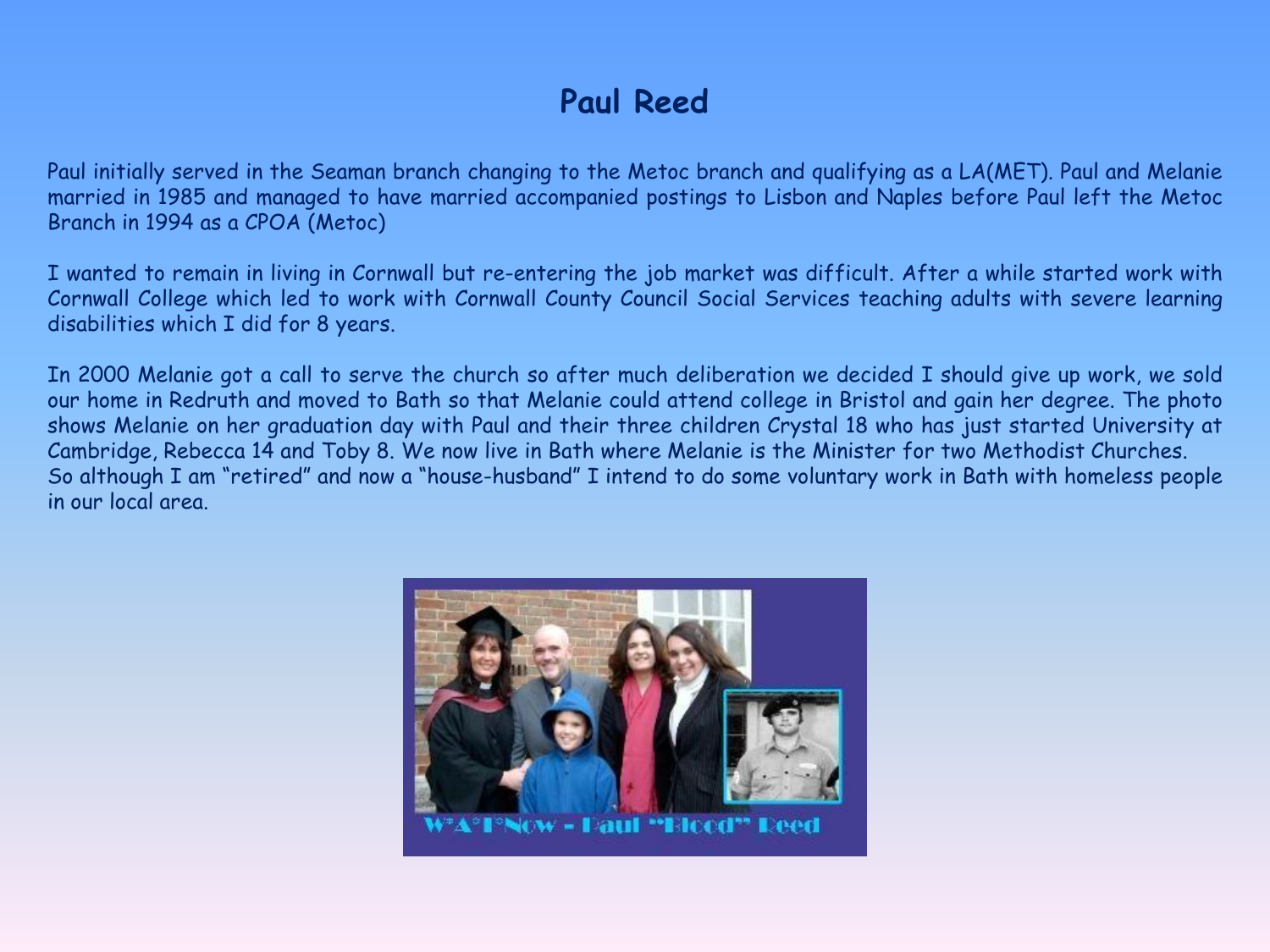# **Paul Reed**

Paul initially served in the Seaman branch changing to the Metoc branch and qualifying as a LA(MET). Paul and Melanie married in 1985 and managed to have married accompanied postings to Lisbon and Naples before Paul left the Metoc Branch in 1994 as a CPOA (Metoc)

I wanted to remain in living in Cornwall but re-entering the job market was difficult. After a while started work with Cornwall College which led to work with Cornwall County Council Social Services teaching adults with severe learning disabilities which I did for 8 years.

In 2000 Melanie got a call to serve the church so after much deliberation we decided I should give up work, we sold our home in Redruth and moved to Bath so that Melanie could attend college in Bristol and gain her degree. The photo shows Melanie on her graduation day with Paul and their three children Crystal 18 who has just started University at Cambridge, Rebecca 14 and Toby 8. We now live in Bath where Melanie is the Minister for two Methodist Churches. So although I am "retired" and now a "house-husband" I intend to do some voluntary work in Bath with homeless people in our local area.

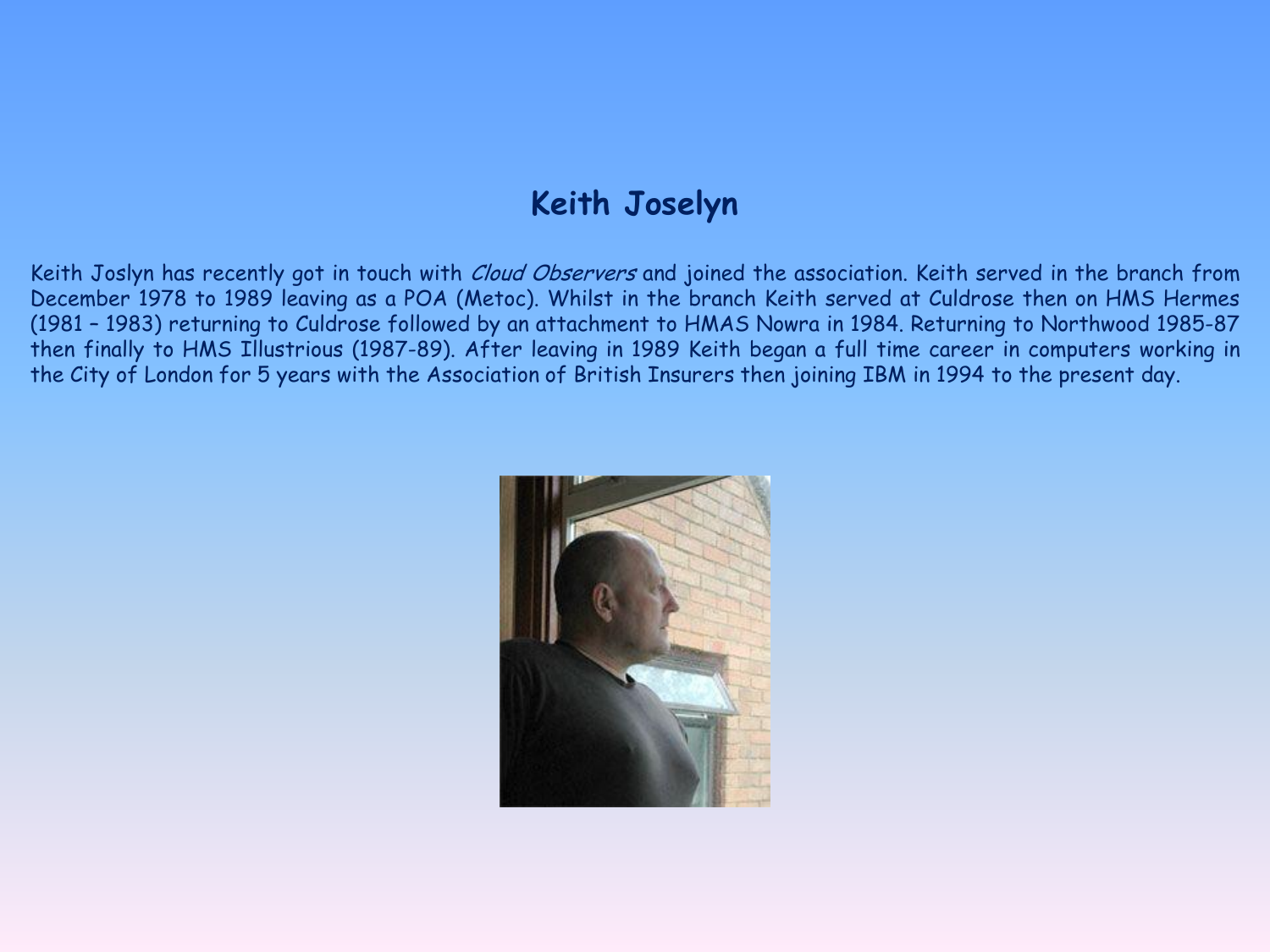### **Keith Joselyn**

Keith Joslyn has recently got in touch with *Cloud Observers* and joined the association. Keith served in the branch from December 1978 to 1989 leaving as a POA (Metoc). Whilst in the branch Keith served at Culdrose then on HMS Hermes (1981 – 1983) returning to Culdrose followed by an attachment to HMAS Nowra in 1984. Returning to Northwood 1985-87 then finally to HMS Illustrious (1987-89). After leaving in 1989 Keith began a full time career in computers working in the City of London for 5 years with the Association of British Insurers then joining IBM in 1994 to the present day.